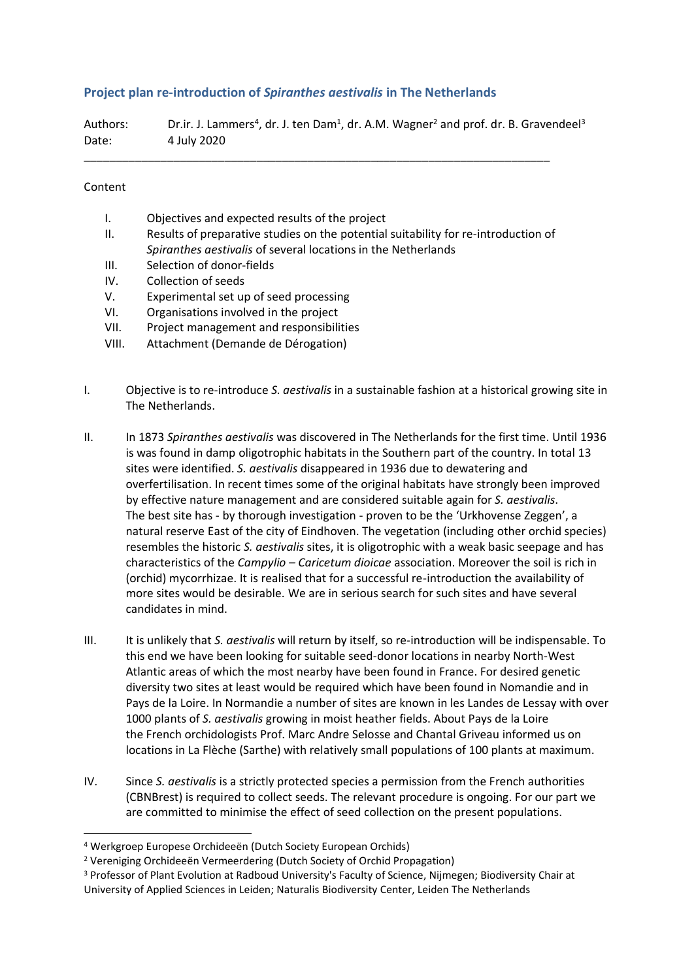## **Project plan re-introduction of** *Spiranthes aestivalis* **in The Netherlands**

Authors: Dr.ir. J. Lammers<sup>4</sup>, dr. J. ten Dam<sup>1</sup>, dr. A.M. Wagner<sup>2</sup> and prof. dr. B. Gravendeel<sup>3</sup> Date: 4 July 2020

\_\_\_\_\_\_\_\_\_\_\_\_\_\_\_\_\_\_\_\_\_\_\_\_\_\_\_\_\_\_\_\_\_\_\_\_\_\_\_\_\_\_\_\_\_\_\_\_\_\_\_\_\_\_\_\_\_\_\_\_\_\_\_\_\_\_\_\_\_\_\_\_\_

## Content

- I. Objectives and expected results of the project
- II. Results of preparative studies on the potential suitability for re-introduction of *Spiranthes aestivalis* of several locations in the Netherlands
- III. Selection of donor-fields
- IV. Collection of seeds
- V. Experimental set up of seed processing
- VI. Organisations involved in the project
- VII. Project management and responsibilities
- VIII. Attachment (Demande de Dérogation)
- I. Objective is to re-introduce *S. aestivalis* in a sustainable fashion at a historical growing site in The Netherlands.
- II. In 1873 *Spiranthes aestivalis* was discovered in The Netherlands for the first time. Until 1936 is was found in damp oligotrophic habitats in the Southern part of the country. In total 13 sites were identified. *S. aestivalis* disappeared in 1936 due to dewatering and overfertilisation. In recent times some of the original habitats have strongly been improved by effective nature management and are considered suitable again for *S. aestivalis*. The best site has - by thorough investigation - proven to be the 'Urkhovense Zeggen', a natural reserve East of the city of Eindhoven. The vegetation (including other orchid species) resembles the historic *S. aestivalis* sites, it is oligotrophic with a weak basic seepage and has characteristics of the *Campylio – Caricetum dioicae* association. Moreover the soil is rich in (orchid) mycorrhizae. It is realised that for a successful re-introduction the availability of more sites would be desirable. We are in serious search for such sites and have several candidates in mind.
- III. It is unlikely that *S. aestivalis* will return by itself, so re-introduction will be indispensable. To this end we have been looking for suitable seed-donor locations in nearby North-West Atlantic areas of which the most nearby have been found in France. For desired genetic diversity two sites at least would be required which have been found in Nomandie and in Pays de la Loire. In Normandie a number of sites are known in les Landes de Lessay with over 1000 plants of *S. aestivalis* growing in moist heather fields. About Pays de la Loire the French orchidologists Prof. Marc Andre Selosse and Chantal Griveau informed us on locations in La Flèche (Sarthe) with relatively small populations of 100 plants at maximum.
- IV. Since *S. aestivalis* is a strictly protected species a permission from the French authorities (CBNBrest) is required to collect seeds. The relevant procedure is ongoing. For our part we are committed to minimise the effect of seed collection on the present populations.

<sup>4</sup> Werkgroep Europese Orchideeën (Dutch Society European Orchids)

<sup>2</sup> Vereniging Orchideeën Vermeerdering (Dutch Society of Orchid Propagation)

<sup>3</sup> Professor of Plant Evolution at Radboud University's Faculty of Science, Nijmegen; Biodiversity Chair at University of Applied Sciences in Leiden; Naturalis Biodiversity Center, Leiden The Netherlands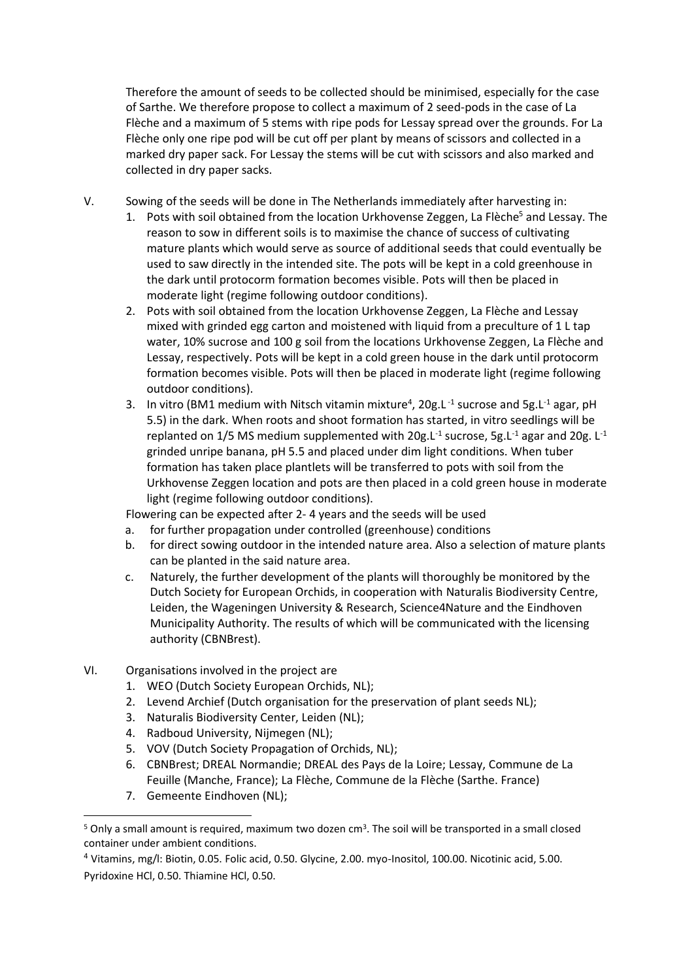Therefore the amount of seeds to be collected should be minimised, especially for the case of Sarthe. We therefore propose to collect a maximum of 2 seed-pods in the case of La Flèche and a maximum of 5 stems with ripe pods for Lessay spread over the grounds. For La Flèche only one ripe pod will be cut off per plant by means of scissors and collected in a marked dry paper sack. For Lessay the stems will be cut with scissors and also marked and collected in dry paper sacks.

- V. Sowing of the seeds will be done in The Netherlands immediately after harvesting in:
	- 1. Pots with soil obtained from the location Urkhovense Zeggen, La Flèche<sup>5</sup> and Lessay. The reason to sow in different soils is to maximise the chance of success of cultivating mature plants which would serve as source of additional seeds that could eventually be used to saw directly in the intended site. The pots will be kept in a cold greenhouse in the dark until protocorm formation becomes visible. Pots will then be placed in moderate light (regime following outdoor conditions).
	- 2. Pots with soil obtained from the location Urkhovense Zeggen, La Flèche and Lessay mixed with grinded egg carton and moistened with liquid from a preculture of 1 L tap water, 10% sucrose and 100 g soil from the locations Urkhovense Zeggen, La Flèche and Lessay, respectively. Pots will be kept in a cold green house in the dark until protocorm formation becomes visible. Pots will then be placed in moderate light (regime following outdoor conditions).
	- 3. In vitro (BM1 medium with Nitsch vitamin mixture<sup>4</sup>, 20g.L<sup>-1</sup> sucrose and 5g.L<sup>-1</sup> agar, pH 5.5) in the dark. When roots and shoot formation has started, in vitro seedlings will be replanted on 1/5 MS medium supplemented with 20g.L<sup>-1</sup> sucrose, 5g.L<sup>-1</sup> agar and 20g. L<sup>-1</sup> grinded unripe banana, pH 5.5 and placed under dim light conditions. When tuber formation has taken place plantlets will be transferred to pots with soil from the Urkhovense Zeggen location and pots are then placed in a cold green house in moderate light (regime following outdoor conditions).

Flowering can be expected after 2- 4 years and the seeds will be used

- a. for further propagation under controlled (greenhouse) conditions
- b. for direct sowing outdoor in the intended nature area. Also a selection of mature plants can be planted in the said nature area.
- c. Naturely, the further development of the plants will thoroughly be monitored by the Dutch Society for European Orchids, in cooperation with Naturalis Biodiversity Centre, Leiden, the Wageningen University & Research, Science4Nature and the Eindhoven Municipality Authority. The results of which will be communicated with the licensing authority (CBNBrest).
- VI. Organisations involved in the project are
	- 1. WEO (Dutch Society European Orchids, NL);
	- 2. Levend Archief (Dutch organisation for the preservation of plant seeds NL);
	- 3. Naturalis Biodiversity Center, Leiden (NL);
	- 4. Radboud University, Nijmegen (NL);
	- 5. VOV (Dutch Society Propagation of Orchids, NL);
	- 6. CBNBrest; DREAL Normandie; DREAL des Pays de la Loire; Lessay, Commune de La Feuille (Manche, France); La Flèche, Commune de la Flèche (Sarthe. France)
	- 7. Gemeente Eindhoven (NL);

<sup>&</sup>lt;sup>5</sup> Only a small amount is required, maximum two dozen cm<sup>3</sup>. The soil will be transported in a small closed container under ambient conditions.

<sup>4</sup> Vitamins, mg/l: Biotin, 0.05. Folic acid, 0.50. Glycine, 2.00. myo-Inositol, 100.00. Nicotinic acid, 5.00. Pyridoxine HCl, 0.50. Thiamine HCl, 0.50.